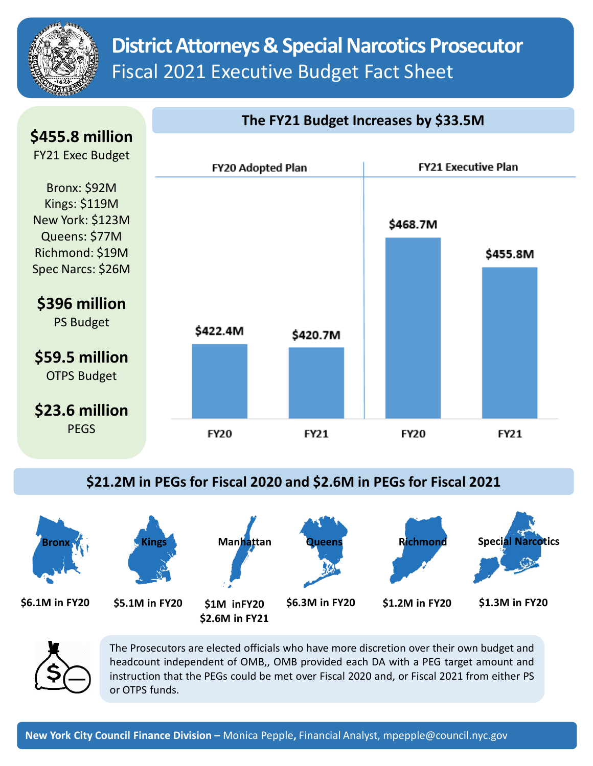

# **District Attorneys & Special Narcotics Prosecutor**  Fiscal 2021 Executive Budget Fact Sheet

**\$455.8 million** FY21 Exec Budget **FY21 Executive Plan** FY20 Adopted Plan Bronx: \$92M Kings: \$119M New York: \$123M \$468.7M Queens: \$77M Richmond: \$19M \$455.8M Spec Narcs: \$26M **\$396 million** PS Budget \$422.4M \$420.7M **\$59.5 million** OTPS Budget **\$23.6 million** PEGS **FY20** FY21 **FY20 FY21** 

### **The FY21 Budget Increases by \$33.5M**

**\$21.2M in PEGs for Fiscal 2020 and \$2.6M in PEGs for Fiscal 2021**





The Prosecutors are elected officials who have more discretion over their own budget and headcount independent of OMB,, OMB provided each DA with a PEG target amount and instruction that the PEGs could be met over Fiscal 2020 and, or Fiscal 2021 from either PS or OTPS funds.